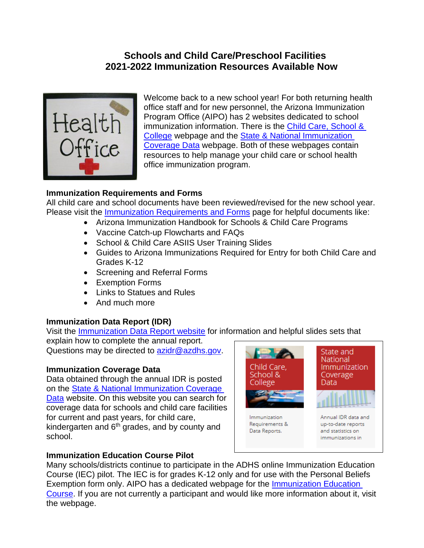# **Schools and Child Care/Preschool Facilities 2021-2022 Immunization Resources Available Now**



Welcome back to a new school year! For both returning health office staff and for new personnel, the Arizona Immunization Program Office (AIPO) has 2 websites dedicated to school immunization information. There is the Child Care, School & [College](https://www.azdhs.gov/preparedness/epidemiology-disease-control/immunization/index.php#schools-home) webpage and the [State & National Immunization](https://www.azdhs.gov/preparedness/epidemiology-disease-control/immunization/index.php#reports-home)  [Coverage Data](https://www.azdhs.gov/preparedness/epidemiology-disease-control/immunization/index.php#reports-home) webpage. Both of these webpages contain resources to help manage your child care or school health office immunization program.

## **Immunization Requirements and Forms**

All child care and school documents have been reviewed/revised for the new school year. Please visit the **Immunization Requirements and Forms** page for helpful documents like:

- Arizona Immunization Handbook for Schools & Child Care Programs
- Vaccine Catch-up Flowcharts and FAQs
- School & Child Care ASIIS User Training Slides
- Guides to Arizona Immunizations Required for Entry for both Child Care and Grades K-12
- Screening and Referral Forms
- Exemption Forms
- Links to Statues and Rules
- And much more

#### **Immunization Data Report (IDR)**

Visit the [Immunization Data Report website](https://www.azdhs.gov/preparedness/epidemiology-disease-control/immunization/index.php#schools-immunization-reports) for information and helpful slides sets that

explain how to complete the annual report. Questions may be directed to [azidr@azdhs.gov.](file://Awsfile1/edc/Groups/Immun/Health%20Educator/Granicus%20Content_Handouts/Draft%20Granicus/azidr@azdhs.gov)

#### **Immunization Coverage Data**

Data obtained through the annual IDR is posted on the [State & National Immunization Coverage](https://www.azdhs.gov/preparedness/epidemiology-disease-control/immunization/index.php#reports-immunization-coverage)  [Data](https://www.azdhs.gov/preparedness/epidemiology-disease-control/immunization/index.php#reports-immunization-coverage) website. On this website you can search for coverage data for schools and child care facilities for current and past years, for child care, kindergarten and  $6<sup>th</sup>$  grades, and by county and school.



# **Immunization Education Course Pilot**

Many schools/districts continue to participate in the ADHS online Immunization Education Course (IEC) pilot. The IEC is for grades K-12 only and for use with the Personal Beliefs Exemption form only. AIPO has a dedicated webpage for the [Immunization Education](https://www.azdhs.gov/preparedness/epidemiology-disease-control/immunization/index.php#immunization-education-course)  [Course.](https://www.azdhs.gov/preparedness/epidemiology-disease-control/immunization/index.php#immunization-education-course) If you are not currently a participant and would like more information about it, visit the webpage.